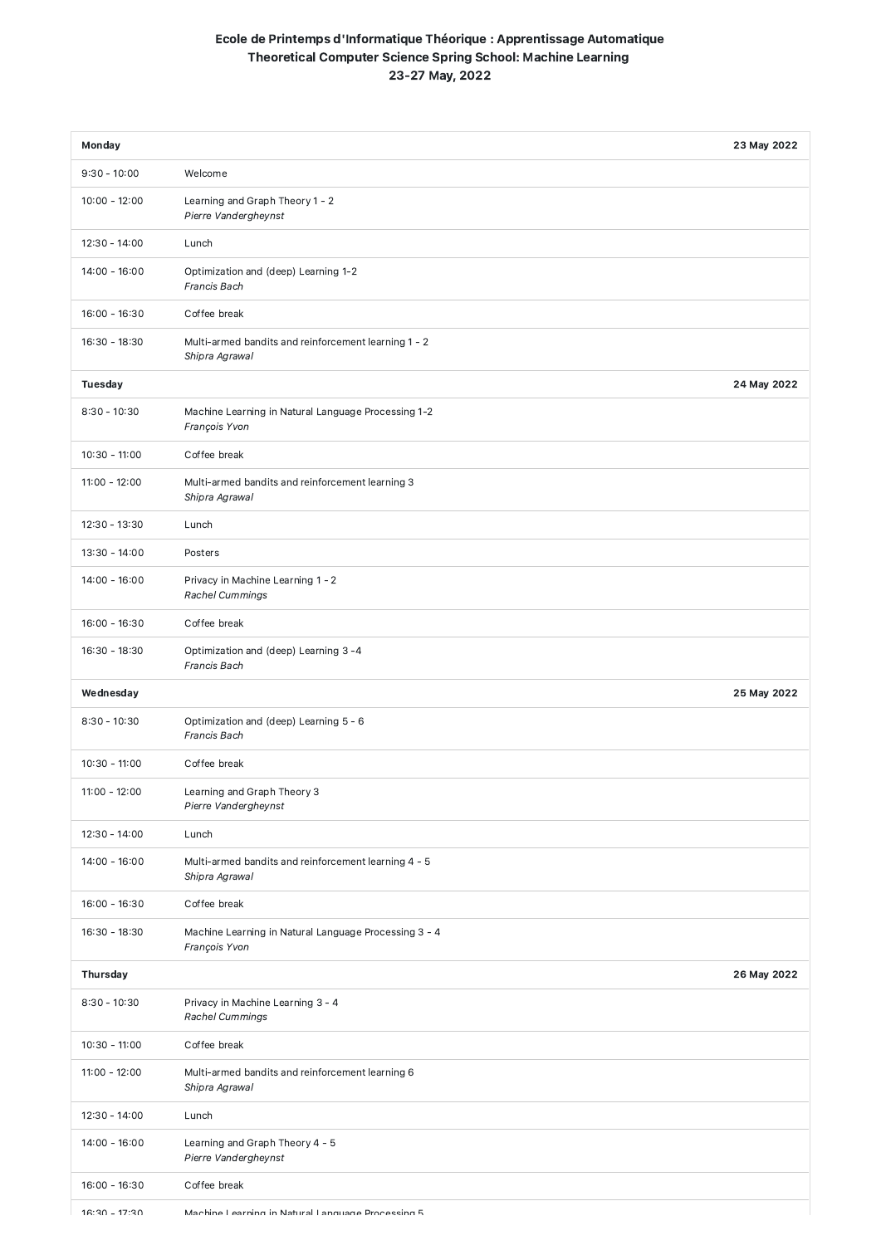## Ecole de Printemps d'Informatique Théorique : Apprentissage Automatique Theoretical Computer Science Spring School: Machine Learning 23-27 May, 2022

| <b>Monday</b>   |                                                                        | 23 May 2022 |
|-----------------|------------------------------------------------------------------------|-------------|
| $9:30 - 10:00$  | Welcome                                                                |             |
| $10:00 - 12:00$ | Learning and Graph Theory 1 - 2<br>Pierre Vandergheynst                |             |
| $12:30 - 14:00$ | Lunch                                                                  |             |
| $14:00 - 16:00$ | Optimization and (deep) Learning 1-2<br>Francis Bach                   |             |
| $16:00 - 16:30$ | Coffee break                                                           |             |
| $16:30 - 18:30$ | Multi-armed bandits and reinforcement learning 1 - 2<br>Shipra Agrawal |             |
| <b>Tuesday</b>  |                                                                        | 24 May 2022 |
| $8:30 - 10:30$  | Machine Learning in Natural Language Processing 1-2<br>François Yvon   |             |
| $10:30 - 11:00$ | Coffee break                                                           |             |
| $11:00 - 12:00$ | Multi-armed bandits and reinforcement learning 3<br>Shipra Agrawal     |             |
| $12:30 - 13:30$ | Lunch                                                                  |             |
| $13:30 - 14:00$ | Posters                                                                |             |
| $14:00 - 16:00$ | Privacy in Machine Learning 1 - 2<br><b>Rachel Cummings</b>            |             |
| $16:00 - 16:30$ | Coffee break                                                           |             |
| $16:30 - 18:30$ | Optimization and (deep) Learning 3 -4<br>Francis Bach                  |             |
| Wednesday       |                                                                        | 25 May 2022 |
| $8:30 - 10:30$  | Optimization and (deep) Learning 5 - 6<br>Francis Bach                 |             |
| $10:30 - 11:00$ | Coffee break                                                           |             |
| $11:00 - 12:00$ | Learning and Graph Theory 3<br>Pierre Vandergheynst                    |             |
| $12:30 - 14:00$ | Lunch                                                                  |             |
| $14:00 - 16:00$ | Multi-armed bandits and reinforcement learning 4 - 5<br>Shipra Agrawal |             |
| $16:00 - 16:30$ | Coffee break                                                           |             |
| $16:30 - 18:30$ | Machine Learning in Natural Language Processing 3 - 4<br>François Yvon |             |
| Thursday        |                                                                        | 26 May 2022 |
| $8:30 - 10:30$  | Privacy in Machine Learning 3 - 4<br>Rachel Cummings                   |             |
| $10:30 - 11:00$ | Coffee break                                                           |             |
| $11:00 - 12:00$ | Multi-armed bandits and reinforcement learning 6<br>Shipra Agrawal     |             |
| $12:30 - 14:00$ | Lunch                                                                  |             |
| $14:00 - 16:00$ | Learning and Graph Theory 4 - 5<br>Pierre Vandergheynst                |             |
| $16:00 - 16:30$ | Coffee break                                                           |             |
| $16:30 - 17:30$ | Machine Learning in Natural Language Processing 5                      |             |